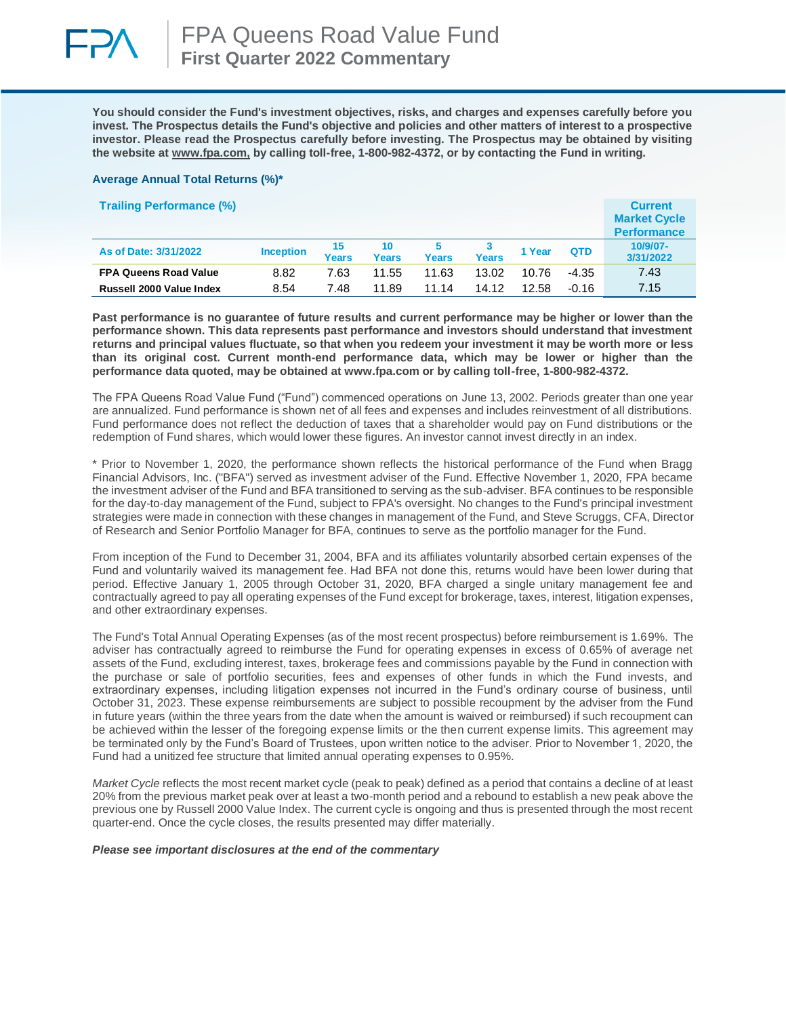

**You should consider the Fund's investment objectives, risks, and charges and expenses carefully before you invest. The Prospectus details the Fund's objective and policies and other matters of interest to a prospective investor. Please read the Prospectus carefully before investing. The Prospectus may be obtained by visiting the website at [www.fpa.com,](http://www.fpa.com/) by calling toll-free, 1-800-982-4372, or by contacting the Fund in writing.**

#### **Average Annual Total Returns (%)\***

| <b>Trailing Performance (%)</b> |                  |             |             |       |       |        |            | <b>Current</b><br><b>Market Cycle</b><br><b>Performance</b> |
|---------------------------------|------------------|-------------|-------------|-------|-------|--------|------------|-------------------------------------------------------------|
| As of Date: 3/31/2022           | <b>Inception</b> | 15<br>Years | 10<br>Years | Years | Years | 1 Year | <b>QTD</b> | 10/9/07-<br>3/31/2022                                       |
| <b>FPA Queens Road Value</b>    | 8.82             | 7.63        | 11.55       | 11.63 | 13.02 | 10.76  | $-4.35$    | 7.43                                                        |
| Russell 2000 Value Index        | 8.54             | 7.48        | 11.89       | 11.14 | 14.12 | 12.58  | $-0.16$    | 7.15                                                        |

**Past performance is no guarantee of future results and current performance may be higher or lower than the performance shown. This data represents past performance and investors should understand that investment returns and principal values fluctuate, so that when you redeem your investment it may be worth more or less than its original cost. Current month-end performance data, which may be lower or higher than the performance data quoted, may be obtained at www.fpa.com or by calling toll-free, 1-800-982-4372.**

The FPA Queens Road Value Fund ("Fund") commenced operations on June 13, 2002. Periods greater than one year are annualized. Fund performance is shown net of all fees and expenses and includes reinvestment of all distributions. Fund performance does not reflect the deduction of taxes that a shareholder would pay on Fund distributions or the redemption of Fund shares, which would lower these figures. An investor cannot invest directly in an index.

\* Prior to November 1, 2020, the performance shown reflects the historical performance of the Fund when Bragg Financial Advisors, Inc. ("BFA") served as investment adviser of the Fund. Effective November 1, 2020, FPA became the investment adviser of the Fund and BFA transitioned to serving as the sub-adviser. BFA continues to be responsible for the day-to-day management of the Fund, subject to FPA's oversight. No changes to the Fund's principal investment strategies were made in connection with these changes in management of the Fund, and Steve Scruggs, CFA, Director of Research and Senior Portfolio Manager for BFA, continues to serve as the portfolio manager for the Fund.

From inception of the Fund to December 31, 2004, BFA and its affiliates voluntarily absorbed certain expenses of the Fund and voluntarily waived its management fee. Had BFA not done this, returns would have been lower during that period. Effective January 1, 2005 through October 31, 2020, BFA charged a single unitary management fee and contractually agreed to pay all operating expenses of the Fund except for brokerage, taxes, interest, litigation expenses, and other extraordinary expenses.

The Fund's Total Annual Operating Expenses (as of the most recent prospectus) before reimbursement is 1.69%. The adviser has contractually agreed to reimburse the Fund for operating expenses in excess of 0.65% of average net assets of the Fund, excluding interest, taxes, brokerage fees and commissions payable by the Fund in connection with the purchase or sale of portfolio securities, fees and expenses of other funds in which the Fund invests, and extraordinary expenses, including litigation expenses not incurred in the Fund's ordinary course of business, until October 31, 2023. These expense reimbursements are subject to possible recoupment by the adviser from the Fund in future years (within the three years from the date when the amount is waived or reimbursed) if such recoupment can be achieved within the lesser of the foregoing expense limits or the then current expense limits. This agreement may be terminated only by the Fund's Board of Trustees, upon written notice to the adviser. Prior to November 1, 2020, the Fund had a unitized fee structure that limited annual operating expenses to 0.95%.

*Market Cycle* reflects the most recent market cycle (peak to peak) defined as a period that contains a decline of at least 20% from the previous market peak over at least a two-month period and a rebound to establish a new peak above the previous one by Russell 2000 Value Index. The current cycle is ongoing and thus is presented through the most recent quarter-end. Once the cycle closes, the results presented may differ materially.

#### *Please see important disclosures at the end of the commentary*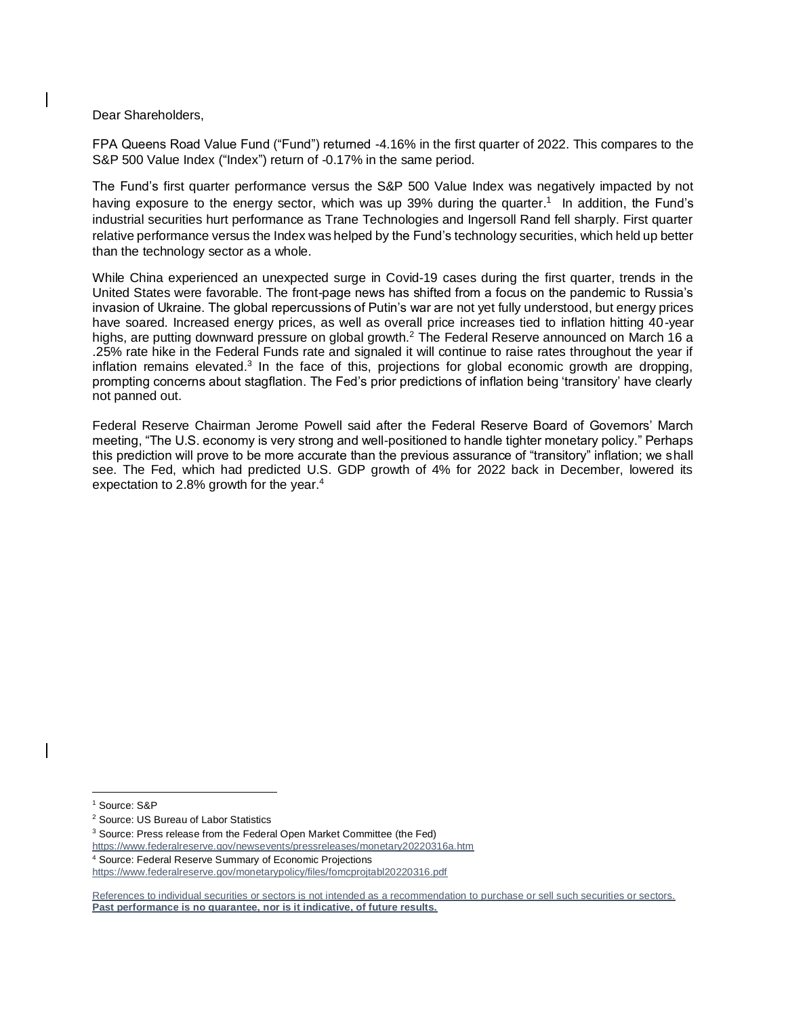Dear Shareholders,

FPA Queens Road Value Fund ("Fund") returned -4.16% in the first quarter of 2022. This compares to the S&P 500 Value Index ("Index") return of -0.17% in the same period.

The Fund's first quarter performance versus the S&P 500 Value Index was negatively impacted by not having exposure to the energy sector, which was up 39% during the quarter.<sup>1</sup> In addition, the Fund's industrial securities hurt performance as Trane Technologies and Ingersoll Rand fell sharply. First quarter relative performance versus the Index was helped by the Fund's technology securities, which held up better than the technology sector as a whole.

While China experienced an unexpected surge in Covid-19 cases during the first quarter, trends in the United States were favorable. The front-page news has shifted from a focus on the pandemic to Russia's invasion of Ukraine. The global repercussions of Putin's war are not yet fully understood, but energy prices have soared. Increased energy prices, as well as overall price increases tied to inflation hitting 40-year highs, are putting downward pressure on global growth.<sup>2</sup> The Federal Reserve announced on March 16 a .25% rate hike in the Federal Funds rate and signaled it will continue to raise rates throughout the year if inflation remains elevated.<sup>3</sup> In the face of this, projections for global economic growth are dropping, prompting concerns about stagflation. The Fed's prior predictions of inflation being 'transitory' have clearly not panned out.

Federal Reserve Chairman Jerome Powell said after the Federal Reserve Board of Governors' March meeting, "The U.S. economy is very strong and well-positioned to handle tighter monetary policy." Perhaps this prediction will prove to be more accurate than the previous assurance of "transitory" inflation; we shall see. The Fed, which had predicted U.S. GDP growth of 4% for 2022 back in December, lowered its expectation to 2.8% growth for the year.<sup>4</sup>

<sup>4</sup> Source: Federal Reserve Summary of Economic Projections <https://www.federalreserve.gov/monetarypolicy/files/fomcprojtabl20220316.pdf>

<sup>1</sup> Source: S&P

<sup>2</sup> Source: US Bureau of Labor Statistics

<sup>3</sup> Source: Press release from the Federal Open Market Committee (the Fed)

<https://www.federalreserve.gov/newsevents/pressreleases/monetary20220316a.htm>

References to individual securities or sectors is not intended as a recommendation to purchase or sell such securities or sectors. **Past performance is no guarantee, nor is it indicative, of future results.**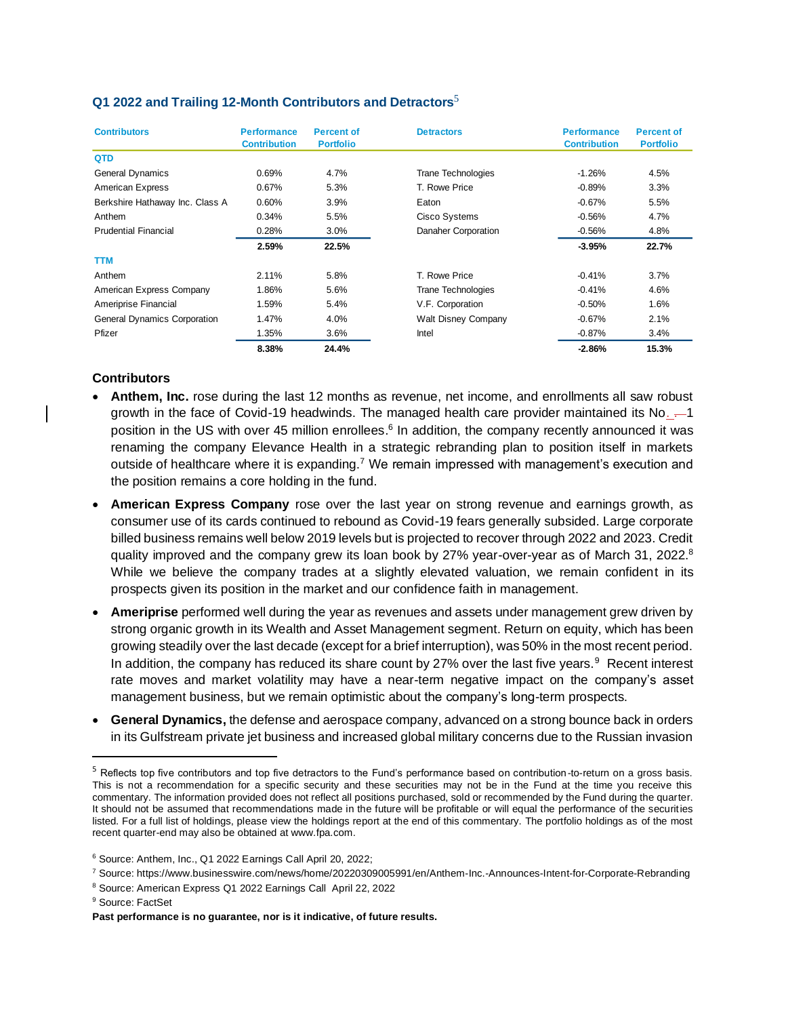| <b>Contributors</b>                 | <b>Performance</b><br><b>Contribution</b> | <b>Percent of</b><br><b>Portfolio</b> | <b>Detractors</b>          | <b>Performance</b><br><b>Contribution</b> | <b>Percent of</b><br><b>Portfolio</b> |
|-------------------------------------|-------------------------------------------|---------------------------------------|----------------------------|-------------------------------------------|---------------------------------------|
| <b>QTD</b>                          |                                           |                                       |                            |                                           |                                       |
| General Dynamics                    | 0.69%                                     | 4.7%                                  | <b>Trane Technologies</b>  | $-1.26%$                                  | 4.5%                                  |
| American Express                    | 0.67%                                     | 5.3%                                  | T. Rowe Price              | $-0.89%$                                  | 3.3%                                  |
| Berkshire Hathaway Inc. Class A     | 0.60%                                     | 3.9%                                  | Eaton                      | $-0.67%$                                  | 5.5%                                  |
| Anthem                              | 0.34%                                     | 5.5%                                  | Cisco Systems              | $-0.56%$                                  | 4.7%                                  |
| <b>Prudential Financial</b>         | 0.28%                                     | 3.0%                                  | Danaher Corporation        | $-0.56%$                                  | 4.8%                                  |
|                                     | 2.59%                                     | 22.5%                                 |                            | $-3.95%$                                  | 22.7%                                 |
| TTM                                 |                                           |                                       |                            |                                           |                                       |
| Anthem                              | 2.11%                                     | 5.8%                                  | T. Rowe Price              | $-0.41%$                                  | 3.7%                                  |
| American Express Company            | 1.86%                                     | 5.6%                                  | <b>Trane Technologies</b>  | $-0.41%$                                  | 4.6%                                  |
| Ameriprise Financial                | 1.59%                                     | 5.4%                                  | V.F. Corporation           | $-0.50%$                                  | 1.6%                                  |
| <b>General Dynamics Corporation</b> | 1.47%                                     | 4.0%                                  | <b>Walt Disney Company</b> | $-0.67%$                                  | 2.1%                                  |
| Pfizer                              | 1.35%                                     | 3.6%                                  | Intel                      | $-0.87%$                                  | 3.4%                                  |
|                                     | 8.38%                                     | 24.4%                                 |                            | $-2.86%$                                  | 15.3%                                 |

# **Q1 2022 and Trailing 12-Month Contributors and Detractors**<sup>5</sup>

## **Contributors**

- **Anthem, Inc.** rose during the last 12 months as revenue, net income, and enrollments all saw robust growth in the face of Covid-19 headwinds. The managed health care provider maintained its No.  $-1$ position in the US with over 45 million enrollees.<sup>6</sup> In addition, the company recently announced it was renaming the company Elevance Health in a strategic rebranding plan to position itself in markets outside of healthcare where it is expanding.<sup>7</sup> We remain impressed with management's execution and the position remains a core holding in the fund.
- **American Express Company** rose over the last year on strong revenue and earnings growth, as consumer use of its cards continued to rebound as Covid-19 fears generally subsided. Large corporate billed business remains well below 2019 levels but is projected to recover through 2022 and 2023. Credit quality improved and the company grew its loan book by 27% year-over-year as of March 31, 2022.<sup>8</sup> While we believe the company trades at a slightly elevated valuation, we remain confident in its prospects given its position in the market and our confidence faith in management.
- **Ameriprise** performed well during the year as revenues and assets under management grew driven by strong organic growth in its Wealth and Asset Management segment. Return on equity, which has been growing steadily over the last decade (except for a brief interruption), was 50% in the most recent period. In addition, the company has reduced its share count by 27% over the last five years.<sup>9</sup> Recent interest rate moves and market volatility may have a near-term negative impact on the company's asset management business, but we remain optimistic about the company's long-term prospects.
- **General Dynamics,** the defense and aerospace company, advanced on a strong bounce back in orders in its Gulfstream private jet business and increased global military concerns due to the Russian invasion

 $<sup>5</sup>$  Reflects top five contributors and top five detractors to the Fund's performance based on contribution-to-return on a gross basis.</sup> This is not a recommendation for a specific security and these securities may not be in the Fund at the time you receive this commentary. The information provided does not reflect all positions purchased, sold or recommended by the Fund during the quarter. It should not be assumed that recommendations made in the future will be profitable or will equal the performance of the securities listed. For a full list of holdings, please view the holdings report at the end of this commentary. The portfolio holdings as of the most recent quarter-end may also be obtained at www.fpa.com.

<sup>6</sup> Source: Anthem, Inc., Q1 2022 Earnings Call April 20, 2022;

<sup>7</sup> Source: https://www.businesswire.com/news/home/20220309005991/en/Anthem-Inc.-Announces-Intent-for-Corporate-Rebranding

<sup>8</sup> Source: American Express Q1 2022 Earnings Call April 22, 2022

<sup>&</sup>lt;sup>9</sup> Source: FactSet

**Past performance is no guarantee, nor is it indicative, of future results.**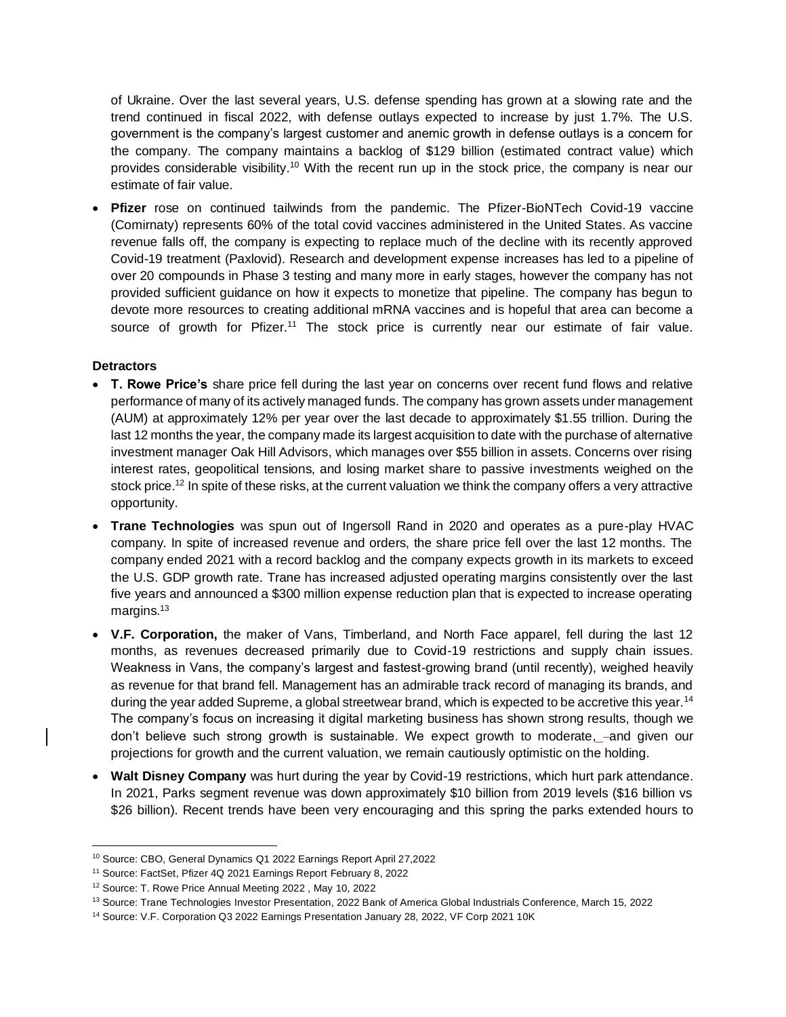of Ukraine. Over the last several years, U.S. defense spending has grown at a slowing rate and the trend continued in fiscal 2022, with defense outlays expected to increase by just 1.7%. The U.S. government is the company's largest customer and anemic growth in defense outlays is a concern for the company. The company maintains a backlog of \$129 billion (estimated contract value) which provides considerable visibility.<sup>10</sup> With the recent run up in the stock price, the company is near our estimate of fair value.

• **Pfizer** rose on continued tailwinds from the pandemic. The Pfizer-BioNTech Covid-19 vaccine (Comirnaty) represents 60% of the total covid vaccines administered in the United States. As vaccine revenue falls off, the company is expecting to replace much of the decline with its recently approved Covid-19 treatment (Paxlovid). Research and development expense increases has led to a pipeline of over 20 compounds in Phase 3 testing and many more in early stages, however the company has not provided sufficient guidance on how it expects to monetize that pipeline. The company has begun to devote more resources to creating additional mRNA vaccines and is hopeful that area can become a source of growth for Pfizer.<sup>11</sup> The stock price is currently near our estimate of fair value.

## **Detractors**

- **T. Rowe Price's** share price fell during the last year on concerns over recent fund flows and relative performance of many of its actively managed funds. The company has grown assets under management (AUM) at approximately 12% per year over the last decade to approximately \$1.55 trillion. During the last 12 months the year, the company made its largest acquisition to date with the purchase of alternative investment manager Oak Hill Advisors, which manages over \$55 billion in assets. Concerns over rising interest rates, geopolitical tensions, and losing market share to passive investments weighed on the stock price.<sup>12</sup> In spite of these risks, at the current valuation we think the company offers a very attractive opportunity.
- **Trane Technologies** was spun out of Ingersoll Rand in 2020 and operates as a pure-play HVAC company. In spite of increased revenue and orders, the share price fell over the last 12 months. The company ended 2021 with a record backlog and the company expects growth in its markets to exceed the U.S. GDP growth rate. Trane has increased adjusted operating margins consistently over the last five years and announced a \$300 million expense reduction plan that is expected to increase operating margins.<sup>13</sup>
- **V.F. Corporation,** the maker of Vans, Timberland, and North Face apparel, fell during the last 12 months, as revenues decreased primarily due to Covid-19 restrictions and supply chain issues. Weakness in Vans, the company's largest and fastest-growing brand (until recently), weighed heavily as revenue for that brand fell. Management has an admirable track record of managing its brands, and during the year added Supreme, a global streetwear brand, which is expected to be accretive this year.<sup>14</sup> The company's focus on increasing it digital marketing business has shown strong results, though we don't believe such strong growth is sustainable. We expect growth to moderate,  $-$ and given our projections for growth and the current valuation, we remain cautiously optimistic on the holding.
- **Walt Disney Company** was hurt during the year by Covid-19 restrictions, which hurt park attendance. In 2021, Parks segment revenue was down approximately \$10 billion from 2019 levels (\$16 billion vs \$26 billion). Recent trends have been very encouraging and this spring the parks extended hours to

<sup>10</sup> Source: CBO, General Dynamics Q1 2022 Earnings Report April 27,2022

<sup>11</sup> Source: FactSet, Pfizer 4Q 2021 Earnings Report February 8, 2022

<sup>12</sup> Source: T. Rowe Price Annual Meeting 2022 , May 10, 2022

<sup>13</sup> Source: Trane Technologies Investor Presentation, 2022 Bank of America Global Industrials Conference, March 15, 2022

<sup>14</sup> Source: V.F. Corporation Q3 2022 Earnings Presentation January 28, 2022, VF Corp 2021 10K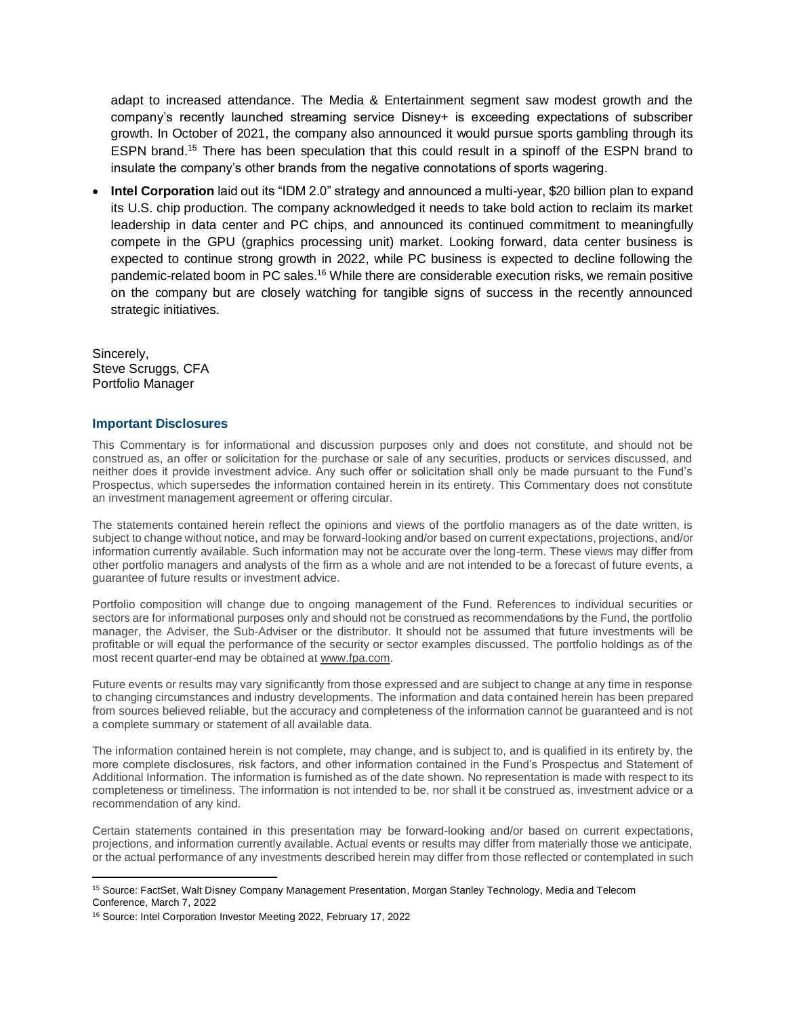adapt to increased attendance. The Media & Entertainment segment saw modest growth and the company's recently launched streaming service Disney+ is exceeding expectations of subscriber growth. In October of 2021, the company also announced it would pursue sports gambling through its ESPN brand.<sup>15</sup> There has been speculation that this could result in a spinoff of the ESPN brand to insulate the company's other brands from the negative connotations of sports wagering.

• **Intel Corporation** laid out its "IDM 2.0" strategy and announced a multi-year, \$20 billion plan to expand its U.S. chip production. The company acknowledged it needs to take bold action to reclaim its market leadership in data center and PC chips, and announced its continued commitment to meaningfully compete in the GPU (graphics processing unit) market. Looking forward, data center business is expected to continue strong growth in 2022, while PC business is expected to decline following the pandemic-related boom in PC sales.<sup>16</sup> While there are considerable execution risks, we remain positive on the company but are closely watching for tangible signs of success in the recently announced strategic initiatives.

Sincerely, Steve Scruggs, CFA Portfolio Manager

### **Important Disclosures**

This Commentary is for informational and discussion purposes only and does not constitute, and should not be construed as, an offer or solicitation for the purchase or sale of any securities, products or services discussed, and neither does it provide investment advice. Any such offer or solicitation shall only be made pursuant to the Fund's Prospectus, which supersedes the information contained herein in its entirety. This Commentary does not constitute an investment management agreement or offering circular.

The statements contained herein reflect the opinions and views of the portfolio managers as of the date written, is subject to change without notice, and may be forward-looking and/or based on current expectations, projections, and/or information currently available. Such information may not be accurate over the long-term. These views may differ from other portfolio managers and analysts of the firm as a whole and are not intended to be a forecast of future events, a guarantee of future results or investment advice.

Portfolio composition will change due to ongoing management of the Fund. References to individual securities or sectors are for informational purposes only and should not be construed as recommendations by the Fund, the portfolio manager, the Adviser, the Sub-Adviser or the distributor. It should not be assumed that future investments will be profitable or will equal the performance of the security or sector examples discussed. The portfolio holdings as of the most recent quarter-end may be obtained a[t www.fpa.com.](http://www.fpa.com/)

Future events or results may vary significantly from those expressed and are subject to change at any time in response to changing circumstances and industry developments. The information and data contained herein has been prepared from sources believed reliable, but the accuracy and completeness of the information cannot be guaranteed and is not a complete summary or statement of all available data.

The information contained herein is not complete, may change, and is subject to, and is qualified in its entirety by, the more complete disclosures, risk factors, and other information contained in the Fund's Prospectus and Statement of Additional Information. The information is furnished as of the date shown. No representation is made with respect to its completeness or timeliness. The information is not intended to be, nor shall it be construed as, investment advice or a recommendation of any kind.

Certain statements contained in this presentation may be forward-looking and/or based on current expectations, projections, and information currently available. Actual events or results may differ from materially those we anticipate, or the actual performance of any investments described herein may differ from those reflected or contemplated in such

<sup>15</sup> Source: FactSet, Walt Disney Company Management Presentation, Morgan Stanley Technology, Media and Telecom Conference, March 7, 2022

<sup>16</sup> Source: Intel Corporation Investor Meeting 2022, February 17, 2022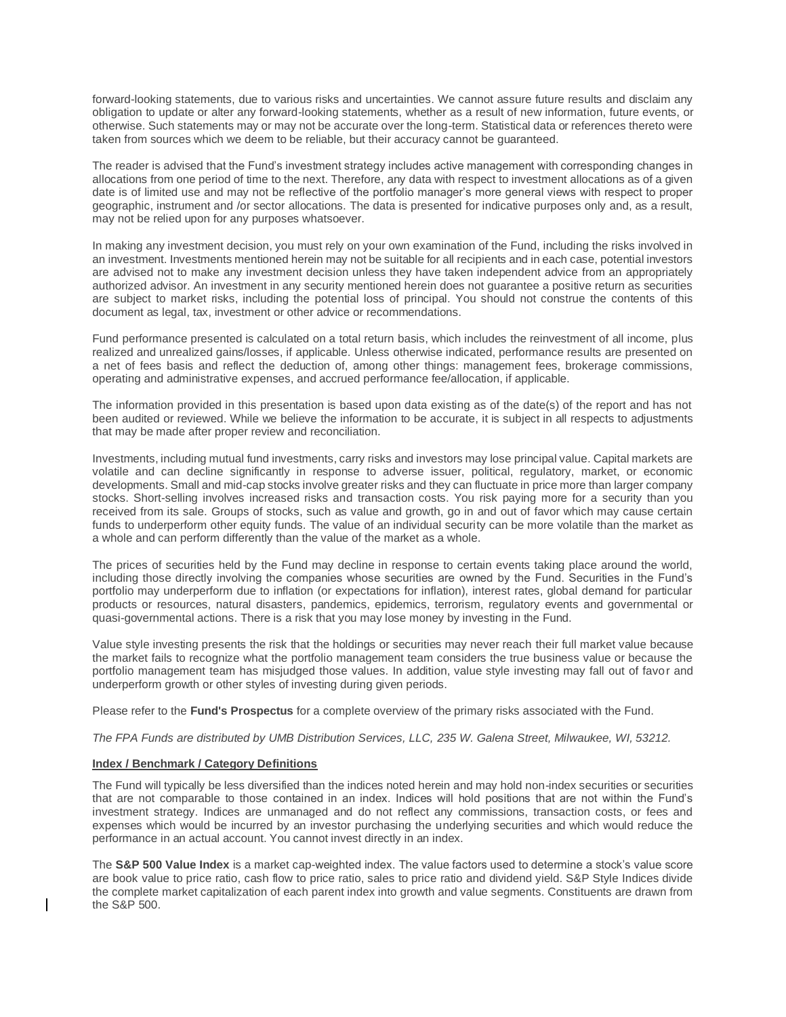forward-looking statements, due to various risks and uncertainties. We cannot assure future results and disclaim any obligation to update or alter any forward-looking statements, whether as a result of new information, future events, or otherwise. Such statements may or may not be accurate over the long-term. Statistical data or references thereto were taken from sources which we deem to be reliable, but their accuracy cannot be guaranteed.

The reader is advised that the Fund's investment strategy includes active management with corresponding changes in allocations from one period of time to the next. Therefore, any data with respect to investment allocations as of a given date is of limited use and may not be reflective of the portfolio manager's more general views with respect to proper geographic, instrument and /or sector allocations. The data is presented for indicative purposes only and, as a result, may not be relied upon for any purposes whatsoever.

In making any investment decision, you must rely on your own examination of the Fund, including the risks involved in an investment. Investments mentioned herein may not be suitable for all recipients and in each case, potential investors are advised not to make any investment decision unless they have taken independent advice from an appropriately authorized advisor. An investment in any security mentioned herein does not guarantee a positive return as securities are subject to market risks, including the potential loss of principal. You should not construe the contents of this document as legal, tax, investment or other advice or recommendations.

Fund performance presented is calculated on a total return basis, which includes the reinvestment of all income, plus realized and unrealized gains/losses, if applicable. Unless otherwise indicated, performance results are presented on a net of fees basis and reflect the deduction of, among other things: management fees, brokerage commissions, operating and administrative expenses, and accrued performance fee/allocation, if applicable.

The information provided in this presentation is based upon data existing as of the date(s) of the report and has not been audited or reviewed. While we believe the information to be accurate, it is subject in all respects to adjustments that may be made after proper review and reconciliation.

Investments, including mutual fund investments, carry risks and investors may lose principal value. Capital markets are volatile and can decline significantly in response to adverse issuer, political, regulatory, market, or economic developments. Small and mid-cap stocks involve greater risks and they can fluctuate in price more than larger company stocks. Short-selling involves increased risks and transaction costs. You risk paying more for a security than you received from its sale. Groups of stocks, such as value and growth, go in and out of favor which may cause certain funds to underperform other equity funds. The value of an individual security can be more volatile than the market as a whole and can perform differently than the value of the market as a whole.

The prices of securities held by the Fund may decline in response to certain events taking place around the world, including those directly involving the companies whose securities are owned by the Fund. Securities in the Fund's portfolio may underperform due to inflation (or expectations for inflation), interest rates, global demand for particular products or resources, natural disasters, pandemics, epidemics, terrorism, regulatory events and governmental or quasi-governmental actions. There is a risk that you may lose money by investing in the Fund.

Value style investing presents the risk that the holdings or securities may never reach their full market value because the market fails to recognize what the portfolio management team considers the true business value or because the portfolio management team has misjudged those values. In addition, value style investing may fall out of favor and underperform growth or other styles of investing during given periods.

Please refer to the **Fund's Prospectus** for a complete overview of the primary risks associated with the Fund.

*The FPA Funds are distributed by UMB Distribution Services, LLC, 235 W. Galena Street, Milwaukee, WI, 53212.*

### **Index / Benchmark / Category Definitions**

The Fund will typically be less diversified than the indices noted herein and may hold non-index securities or securities that are not comparable to those contained in an index. Indices will hold positions that are not within the Fund's investment strategy. Indices are unmanaged and do not reflect any commissions, transaction costs, or fees and expenses which would be incurred by an investor purchasing the underlying securities and which would reduce the performance in an actual account. You cannot invest directly in an index.

The **S&P 500 Value Index** is a market cap-weighted index. The value factors used to determine a stock's value score are book value to price ratio, cash flow to price ratio, sales to price ratio and dividend yield. S&P Style Indices divide the complete market capitalization of each parent index into growth and value segments. Constituents are drawn from the S&P 500.